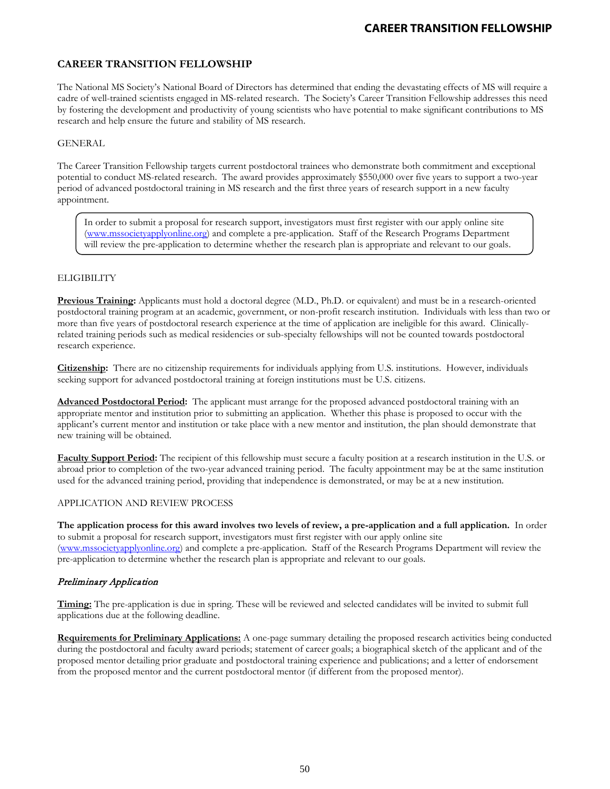## **CAREER TRANSITION FELLOWSHIP**

The National MS Society's National Board of Directors has determined that ending the devastating effects of MS will require a cadre of well-trained scientists engaged in MS-related research.The Society's Career Transition Fellowship addresses this need by fostering the development and productivity of young scientists who have potential to make significant contributions to MS research and help ensure the future and stability of MS research.

### GENERAL

The Career Transition Fellowship targets current postdoctoral trainees who demonstrate both commitment and exceptional potential to conduct MS-related research. The award provides approximately \$550,000 over five years to support a two-year period of advanced postdoctoral training in MS research and the first three years of research support in a new faculty appointment.

In order to submit a proposal for research support, investigators must first register with our apply online site [\(www.mssocietyapplyonline.org\)](http://www.mssocietyapplyonline.org/) and complete a pre-application. Staff of the Research Programs Department will review the pre-application to determine whether the research plan is appropriate and relevant to our goals.

### **ELIGIBILITY**

**Previous Training:** Applicants must hold a doctoral degree (M.D., Ph.D. or equivalent) and must be in a research-oriented postdoctoral training program at an academic, government, or non-profit research institution. Individuals with less than two or more than five years of postdoctoral research experience at the time of application are ineligible for this award. Clinicallyrelated training periods such as medical residencies or sub-specialty fellowships will not be counted towards postdoctoral research experience.

**Citizenship:**There are no citizenship requirements for individuals applying from U.S. institutions. However, individuals seeking support for advanced postdoctoral training at foreign institutions must be U.S. citizens.

**Advanced Postdoctoral Period:**The applicant must arrange for the proposed advanced postdoctoral training with an appropriate mentor and institution prior to submitting an application. Whether this phase is proposed to occur with the applicant's current mentor and institution or take place with a new mentor and institution, the plan should demonstrate that new training will be obtained.

**Faculty Support Period:** The recipient of this fellowship must secure a faculty position at a research institution in the U.S. or abroad prior to completion of the two-year advanced training period. The faculty appointment may be at the same institution used for the advanced training period, providing that independence is demonstrated, or may be at a new institution.

#### APPLICATION AND REVIEW PROCESS

**The application process for this award involves two levels of review, a pre-application and a full application.** In order to submit a proposal for research support, investigators must first register with our apply online site [\(www.mssocietyapplyonline.org\)](http://www.mssocietyapplyonline.org/) and complete a pre-application. Staff of the Research Programs Department will review the pre-application to determine whether the research plan is appropriate and relevant to our goals.

### Preliminary Application

**Timing:** The pre-application is due in spring. These will be reviewed and selected candidates will be invited to submit full applications due at the following deadline.

**Requirements for Preliminary Applications:** A one-page summary detailing the proposed research activities being conducted during the postdoctoral and faculty award periods; statement of career goals; a biographical sketch of the applicant and of the proposed mentor detailing prior graduate and postdoctoral training experience and publications; and a letter of endorsement from the proposed mentor and the current postdoctoral mentor (if different from the proposed mentor).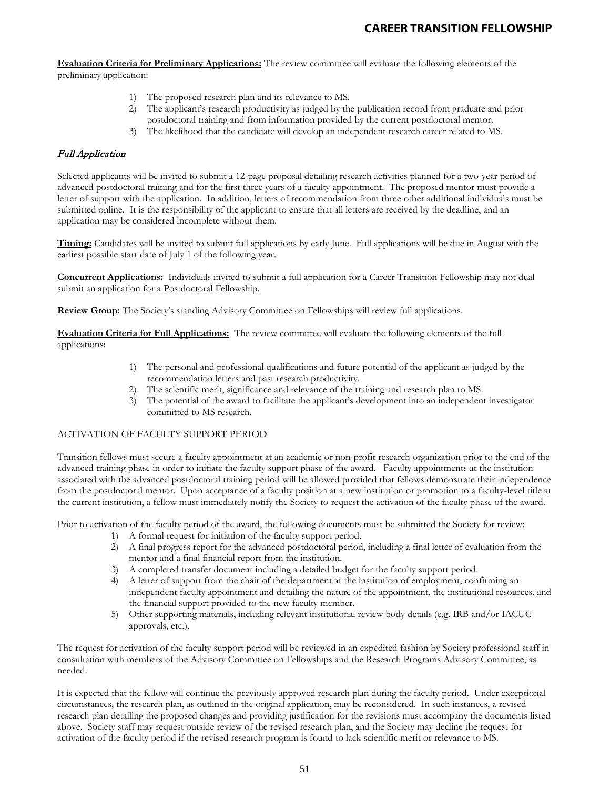**Evaluation Criteria for Preliminary Applications:** The review committee will evaluate the following elements of the preliminary application:

- 1) The proposed research plan and its relevance to MS.
- 2) The applicant's research productivity as judged by the publication record from graduate and prior postdoctoral training and from information provided by the current postdoctoral mentor.
- 3) The likelihood that the candidate will develop an independent research career related to MS.

## Full Application

Selected applicants will be invited to submit a 12-page proposal detailing research activities planned for a two-year period of advanced postdoctoral training and for the first three years of a faculty appointment. The proposed mentor must provide a letter of support with the application. In addition, letters of recommendation from three other additional individuals must be submitted online. It is the responsibility of the applicant to ensure that all letters are received by the deadline, and an application may be considered incomplete without them.

**Timing:** Candidates will be invited to submit full applications by early June. Full applications will be due in August with the earliest possible start date of July 1 of the following year.

**Concurrent Applications:**Individuals invited to submit a full application for a Career Transition Fellowship may not dual submit an application for a Postdoctoral Fellowship.

**Review Group:** The Society's standing Advisory Committee on Fellowships will review full applications.

**Evaluation Criteria for Full Applications:**The review committee will evaluate the following elements of the full applications:

- 1) The personal and professional qualifications and future potential of the applicant as judged by the recommendation letters and past research productivity.
- 2) The scientific merit, significance and relevance of the training and research plan to MS.
- 3) The potential of the award to facilitate the applicant's development into an independent investigator committed to MS research.

### ACTIVATION OF FACULTY SUPPORT PERIOD

Transition fellows must secure a faculty appointment at an academic or non-profit research organization prior to the end of the advanced training phase in order to initiate the faculty support phase of the award. Faculty appointments at the institution associated with the advanced postdoctoral training period will be allowed provided that fellows demonstrate their independence from the postdoctoral mentor. Upon acceptance of a faculty position at a new institution or promotion to a faculty-level title at the current institution, a fellow must immediately notify the Society to request the activation of the faculty phase of the award.

Prior to activation of the faculty period of the award, the following documents must be submitted the Society for review:

- 1) A formal request for initiation of the faculty support period.
- 2) A final progress report for the advanced postdoctoral period, including a final letter of evaluation from the mentor and a final financial report from the institution.
- 3) A completed transfer document including a detailed budget for the faculty support period.
- 4) A letter of support from the chair of the department at the institution of employment, confirming an independent faculty appointment and detailing the nature of the appointment, the institutional resources, and the financial support provided to the new faculty member.
- 5) Other supporting materials, including relevant institutional review body details (e.g. IRB and/or IACUC approvals, etc.).

The request for activation of the faculty support period will be reviewed in an expedited fashion by Society professional staff in consultation with members of the Advisory Committee on Fellowships and the Research Programs Advisory Committee, as needed.

It is expected that the fellow will continue the previously approved research plan during the faculty period. Under exceptional circumstances, the research plan, as outlined in the original application, may be reconsidered. In such instances, a revised research plan detailing the proposed changes and providing justification for the revisions must accompany the documents listed above. Society staff may request outside review of the revised research plan, and the Society may decline the request for activation of the faculty period if the revised research program is found to lack scientific merit or relevance to MS.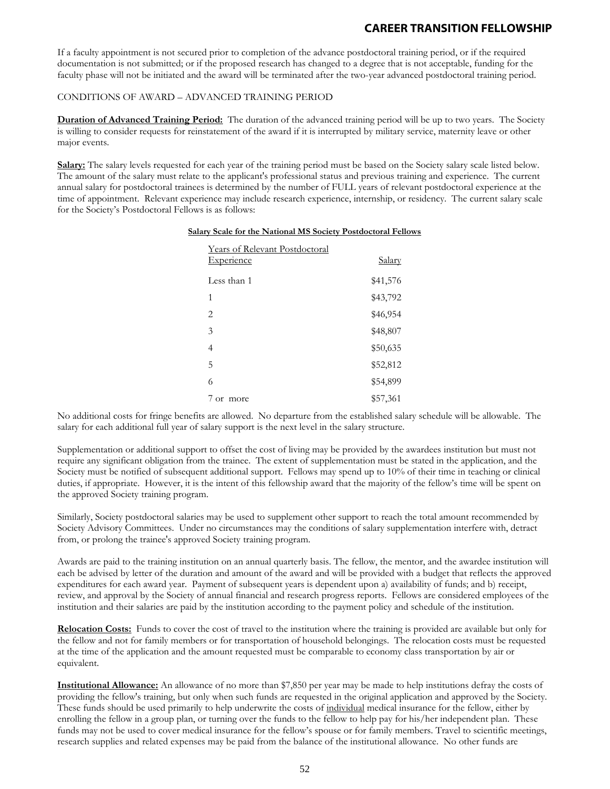If a faculty appointment is not secured prior to completion of the advance postdoctoral training period, or if the required documentation is not submitted; or if the proposed research has changed to a degree that is not acceptable, funding for the faculty phase will not be initiated and the award will be terminated after the two-year advanced postdoctoral training period.

### CONDITIONS OF AWARD – ADVANCED TRAINING PERIOD

**Duration of Advanced Training Period:** The duration of the advanced training period will be up to two years. The Society is willing to consider requests for reinstatement of the award if it is interrupted by military service, maternity leave or other major events.

**Salary:** The salary levels requested for each year of the training period must be based on the Society salary scale listed below. The amount of the salary must relate to the applicant's professional status and previous training and experience. The current annual salary for postdoctoral trainees is determined by the number of FULL years of relevant postdoctoral experience at the time of appointment. Relevant experience may include research experience, internship, or residency. The current salary scale for the Society's Postdoctoral Fellows is as follows:

| Years of Relevant Postdoctoral<br><b>Experience</b> | <u>Salary</u> |
|-----------------------------------------------------|---------------|
| Less than 1                                         | \$41,576      |
| 1                                                   | \$43,792      |
| $\mathfrak{D}_{\mathfrak{p}}$                       | \$46,954      |
| 3                                                   | \$48,807      |
| $\overline{4}$                                      | \$50,635      |
| 5                                                   | \$52,812      |
| 6                                                   | \$54,899      |
| or more                                             | \$57,361      |

#### **Salary Scale for the National MS Society Postdoctoral Fellows**

No additional costs for fringe benefits are allowed. No departure from the established salary schedule will be allowable. The salary for each additional full year of salary support is the next level in the salary structure.

Supplementation or additional support to offset the cost of living may be provided by the awardees institution but must not require any significant obligation from the trainee. The extent of supplementation must be stated in the application, and the Society must be notified of subsequent additional support. Fellows may spend up to 10% of their time in teaching or clinical duties, if appropriate. However, it is the intent of this fellowship award that the majority of the fellow's time will be spent on the approved Society training program.

Similarly, Society postdoctoral salaries may be used to supplement other support to reach the total amount recommended by Society Advisory Committees. Under no circumstances may the conditions of salary supplementation interfere with, detract from, or prolong the trainee's approved Society training program.

Awards are paid to the training institution on an annual quarterly basis. The fellow, the mentor, and the awardee institution will each be advised by letter of the duration and amount of the award and will be provided with a budget that reflects the approved expenditures for each award year. Payment of subsequent years is dependent upon a) availability of funds; and b) receipt, review, and approval by the Society of annual financial and research progress reports. Fellows are considered employees of the institution and their salaries are paid by the institution according to the payment policy and schedule of the institution.

**Relocation Costs:** Funds to cover the cost of travel to the institution where the training is provided are available but only for the fellow and not for family members or for transportation of household belongings. The relocation costs must be requested at the time of the application and the amount requested must be comparable to economy class transportation by air or equivalent.

**Institutional Allowance:** An allowance of no more than \$7,850 per year may be made to help institutions defray the costs of providing the fellow's training, but only when such funds are requested in the original application and approved by the Society. These funds should be used primarily to help underwrite the costs of individual medical insurance for the fellow, either by enrolling the fellow in a group plan, or turning over the funds to the fellow to help pay for his/her independent plan. These funds may not be used to cover medical insurance for the fellow's spouse or for family members. Travel to scientific meetings, research supplies and related expenses may be paid from the balance of the institutional allowance. No other funds are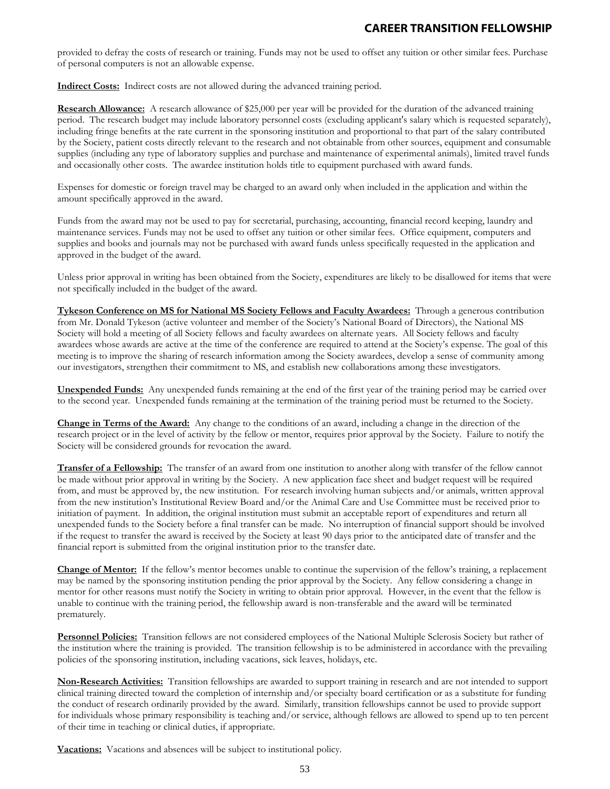provided to defray the costs of research or training. Funds may not be used to offset any tuition or other similar fees. Purchase of personal computers is not an allowable expense.

**Indirect Costs:** Indirect costs are not allowed during the advanced training period.

**Research Allowance:** A research allowance of \$25,000 per year will be provided for the duration of the advanced training period. The research budget may include laboratory personnel costs (excluding applicant's salary which is requested separately), including fringe benefits at the rate current in the sponsoring institution and proportional to that part of the salary contributed by the Society, patient costs directly relevant to the research and not obtainable from other sources, equipment and consumable supplies (including any type of laboratory supplies and purchase and maintenance of experimental animals), limited travel funds and occasionally other costs. The awardee institution holds title to equipment purchased with award funds.

Expenses for domestic or foreign travel may be charged to an award only when included in the application and within the amount specifically approved in the award.

Funds from the award may not be used to pay for secretarial, purchasing, accounting, financial record keeping, laundry and maintenance services. Funds may not be used to offset any tuition or other similar fees. Office equipment, computers and supplies and books and journals may not be purchased with award funds unless specifically requested in the application and approved in the budget of the award.

Unless prior approval in writing has been obtained from the Society, expenditures are likely to be disallowed for items that were not specifically included in the budget of the award.

**Tykeson Conference on MS for National MS Society Fellows and Faculty Awardees:** Through a generous contribution from Mr. Donald Tykeson (active volunteer and member of the Society's National Board of Directors), the National MS Society will hold a meeting of all Society fellows and faculty awardees on alternate years. All Society fellows and faculty awardees whose awards are active at the time of the conference are required to attend at the Society's expense. The goal of this meeting is to improve the sharing of research information among the Society awardees, develop a sense of community among our investigators, strengthen their commitment to MS, and establish new collaborations among these investigators.

**Unexpended Funds:** Any unexpended funds remaining at the end of the first year of the training period may be carried over to the second year. Unexpended funds remaining at the termination of the training period must be returned to the Society.

**Change in Terms of the Award:** Any change to the conditions of an award, including a change in the direction of the research project or in the level of activity by the fellow or mentor, requires prior approval by the Society. Failure to notify the Society will be considered grounds for revocation the award.

**Transfer of a Fellowship:** The transfer of an award from one institution to another along with transfer of the fellow cannot be made without prior approval in writing by the Society. A new application face sheet and budget request will be required from, and must be approved by, the new institution. For research involving human subjects and/or animals, written approval from the new institution's Institutional Review Board and/or the Animal Care and Use Committee must be received prior to initiation of payment. In addition, the original institution must submit an acceptable report of expenditures and return all unexpended funds to the Society before a final transfer can be made. No interruption of financial support should be involved if the request to transfer the award is received by the Society at least 90 days prior to the anticipated date of transfer and the financial report is submitted from the original institution prior to the transfer date.

**Change of Mentor:** If the fellow's mentor becomes unable to continue the supervision of the fellow's training, a replacement may be named by the sponsoring institution pending the prior approval by the Society. Any fellow considering a change in mentor for other reasons must notify the Society in writing to obtain prior approval. However, in the event that the fellow is unable to continue with the training period, the fellowship award is non-transferable and the award will be terminated prematurely.

**Personnel Policies:** Transition fellows are not considered employees of the National Multiple Sclerosis Society but rather of the institution where the training is provided. The transition fellowship is to be administered in accordance with the prevailing policies of the sponsoring institution, including vacations, sick leaves, holidays, etc.

**Non-Research Activities:** Transition fellowships are awarded to support training in research and are not intended to support clinical training directed toward the completion of internship and/or specialty board certification or as a substitute for funding the conduct of research ordinarily provided by the award. Similarly, transition fellowships cannot be used to provide support for individuals whose primary responsibility is teaching and/or service, although fellows are allowed to spend up to ten percent of their time in teaching or clinical duties, if appropriate.

**Vacations:** Vacations and absences will be subject to institutional policy.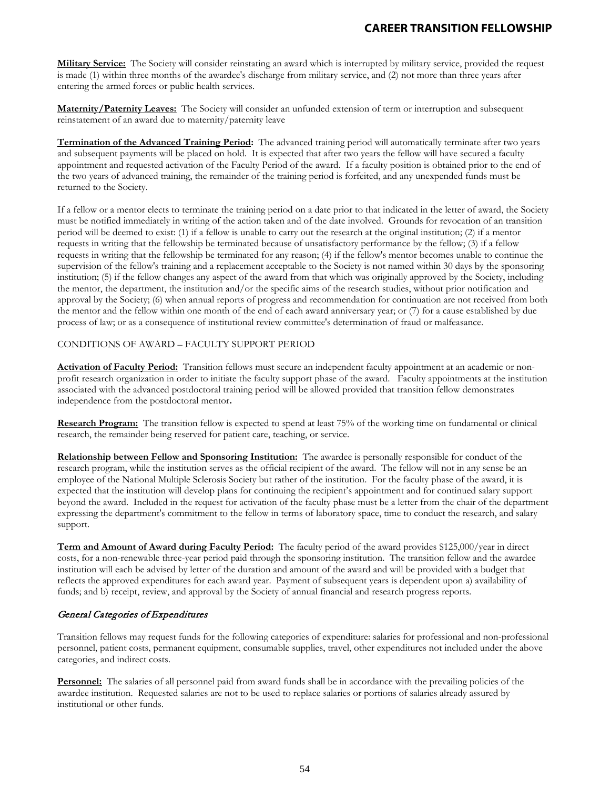**Military Service:** The Society will consider reinstating an award which is interrupted by military service, provided the request is made (1) within three months of the awardee's discharge from military service, and (2) not more than three years after entering the armed forces or public health services.

**Maternity/Paternity Leaves:** The Society will consider an unfunded extension of term or interruption and subsequent reinstatement of an award due to maternity/paternity leave

**Termination of the Advanced Training Period:** The advanced training period will automatically terminate after two years and subsequent payments will be placed on hold. It is expected that after two years the fellow will have secured a faculty appointment and requested activation of the Faculty Period of the award. If a faculty position is obtained prior to the end of the two years of advanced training, the remainder of the training period is forfeited, and any unexpended funds must be returned to the Society.

If a fellow or a mentor elects to terminate the training period on a date prior to that indicated in the letter of award, the Society must be notified immediately in writing of the action taken and of the date involved. Grounds for revocation of an transition period will be deemed to exist: (1) if a fellow is unable to carry out the research at the original institution; (2) if a mentor requests in writing that the fellowship be terminated because of unsatisfactory performance by the fellow; (3) if a fellow requests in writing that the fellowship be terminated for any reason; (4) if the fellow's mentor becomes unable to continue the supervision of the fellow's training and a replacement acceptable to the Society is not named within 30 days by the sponsoring institution; (5) if the fellow changes any aspect of the award from that which was originally approved by the Society, including the mentor, the department, the institution and/or the specific aims of the research studies, without prior notification and approval by the Society; (6) when annual reports of progress and recommendation for continuation are not received from both the mentor and the fellow within one month of the end of each award anniversary year; or (7) for a cause established by due process of law; or as a consequence of institutional review committee's determination of fraud or malfeasance.

### CONDITIONS OF AWARD – FACULTY SUPPORT PERIOD

**Activation of Faculty Period:** Transition fellows must secure an independent faculty appointment at an academic or nonprofit research organization in order to initiate the faculty support phase of the award. Faculty appointments at the institution associated with the advanced postdoctoral training period will be allowed provided that transition fellow demonstrates independence from the postdoctoral mentor**.** 

**Research Program:** The transition fellow is expected to spend at least 75% of the working time on fundamental or clinical research, the remainder being reserved for patient care, teaching, or service.

**Relationship between Fellow and Sponsoring Institution:** The awardee is personally responsible for conduct of the research program, while the institution serves as the official recipient of the award. The fellow will not in any sense be an employee of the National Multiple Sclerosis Society but rather of the institution. For the faculty phase of the award, it is expected that the institution will develop plans for continuing the recipient's appointment and for continued salary support beyond the award. Included in the request for activation of the faculty phase must be a letter from the chair of the department expressing the department's commitment to the fellow in terms of laboratory space, time to conduct the research, and salary support.

**Term and Amount of Award during Faculty Period:** The faculty period of the award provides \$125,000/year in direct costs, for a non-renewable three-year period paid through the sponsoring institution. The transition fellow and the awardee institution will each be advised by letter of the duration and amount of the award and will be provided with a budget that reflects the approved expenditures for each award year. Payment of subsequent years is dependent upon a) availability of funds; and b) receipt, review, and approval by the Society of annual financial and research progress reports.

### General Categories of Expenditures

Transition fellows may request funds for the following categories of expenditure: salaries for professional and non-professional personnel, patient costs, permanent equipment, consumable supplies, travel, other expenditures not included under the above categories, and indirect costs.

**Personnel:** The salaries of all personnel paid from award funds shall be in accordance with the prevailing policies of the awardee institution. Requested salaries are not to be used to replace salaries or portions of salaries already assured by institutional or other funds.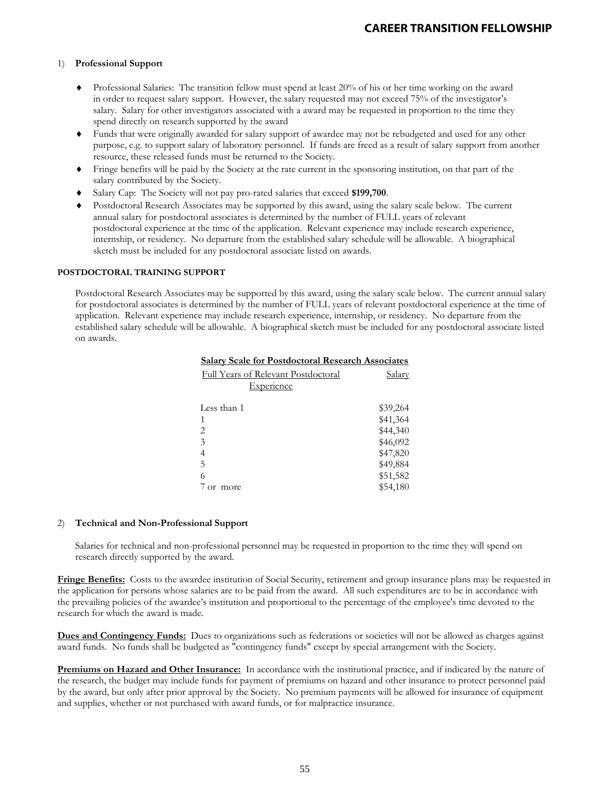### 1) **Professional Support**

- ♦ Professional Salaries: The transition fellow must spend at least 20% of his or her time working on the award in order to request salary support. However, the salary requested may not exceed 75% of the investigator's salary. Salary for other investigators associated with a award may be requested in proportion to the time they spend directly on research supported by the award
- Funds that were originally awarded for salary support of awardee may not be rebudgeted and used for any other purpose, e.g. to support salary of laboratory personnel. If funds are freed as a result of salary support from another resource, these released funds must be returned to the Society.
- ♦ Fringe benefits will be paid by the Society at the rate current in the sponsoring institution, on that part of the salary contributed by the Society.
- ♦ Salary Cap: The Society will not pay pro-rated salaries that exceed **\$199,700**.
- ♦ Postdoctoral Research Associates may be supported by this award, using the salary scale below. The current annual salary for postdoctoral associates is determined by the number of FULL years of relevant postdoctoral experience at the time of the application. Relevant experience may include research experience, internship, or residency. No departure from the established salary schedule will be allowable. A biographical sketch must be included for any postdoctoral associate listed on awards.

#### **POSTDOCTORAL TRAINING SUPPORT**

Postdoctoral Research Associates may be supported by this award, using the salary scale below. The current annual salary for postdoctoral associates is determined by the number of FULL years of relevant postdoctoral experience at the time of application. Relevant experience may include research experience, internship, or residency. No departure from the established salary schedule will be allowable. A biographical sketch must be included for any postdoctoral associate listed on awards.

| <b>Salary Scale for Postdoctoral Research Associates</b> |          |
|----------------------------------------------------------|----------|
| <b>Full Years of Relevant Postdoctoral</b>               | Salarv   |
| Experience                                               |          |
| Less than 1                                              | \$39,264 |
| 1                                                        | \$41,364 |
| 2                                                        | \$44,340 |
| 3                                                        | \$46,092 |
| 4                                                        | \$47,820 |
| 5                                                        | \$49,884 |
| 6                                                        | \$51,582 |
| or more                                                  | \$54,180 |

#### 2) **Technical and Non-Professional Support**

Salaries for technical and non-professional personnel may be requested in proportion to the time they will spend on research directly supported by the award.

**Fringe Benefits:** Costs to the awardee institution of Social Security, retirement and group insurance plans may be requested in the application for persons whose salaries are to be paid from the award. All such expenditures are to be in accordance with the prevailing policies of the awardee's institution and proportional to the percentage of the employee's time devoted to the research for which the award is made.

**Dues and Contingency Funds:** Dues to organizations such as federations or societies will not be allowed as charges against award funds. No funds shall be budgeted as "contingency funds" except by special arrangement with the Society.

**Premiums on Hazard and Other Insurance:** In accordance with the institutional practice, and if indicated by the nature of the research, the budget may include funds for payment of premiums on hazard and other insurance to protect personnel paid by the award, but only after prior approval by the Society. No premium payments will be allowed for insurance of equipment and supplies, whether or not purchased with award funds, or for malpractice insurance.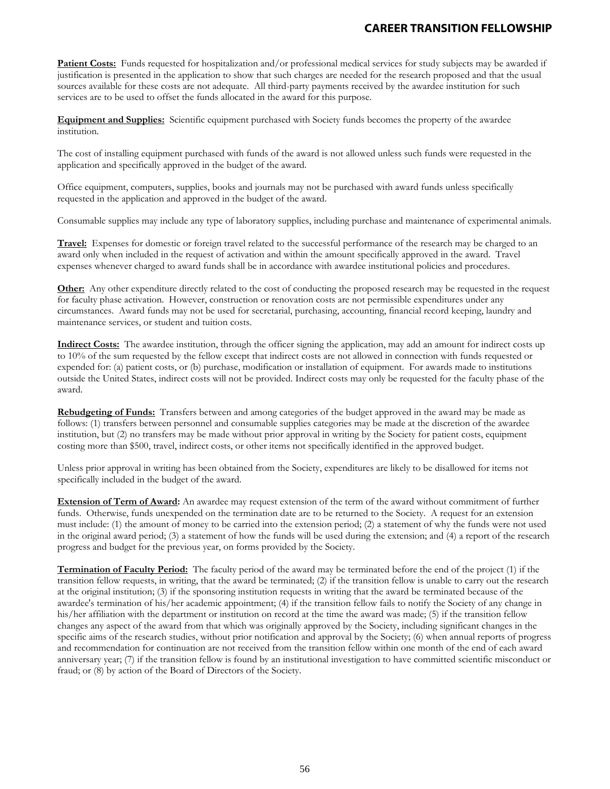**Patient Costs:** Funds requested for hospitalization and/or professional medical services for study subjects may be awarded if justification is presented in the application to show that such charges are needed for the research proposed and that the usual sources available for these costs are not adequate. All third-party payments received by the awardee institution for such services are to be used to offset the funds allocated in the award for this purpose.

**Equipment and Supplies:** Scientific equipment purchased with Society funds becomes the property of the awardee institution.

The cost of installing equipment purchased with funds of the award is not allowed unless such funds were requested in the application and specifically approved in the budget of the award.

Office equipment, computers, supplies, books and journals may not be purchased with award funds unless specifically requested in the application and approved in the budget of the award.

Consumable supplies may include any type of laboratory supplies, including purchase and maintenance of experimental animals.

**Travel:** Expenses for domestic or foreign travel related to the successful performance of the research may be charged to an award only when included in the request of activation and within the amount specifically approved in the award. Travel expenses whenever charged to award funds shall be in accordance with awardee institutional policies and procedures.

**Other:** Any other expenditure directly related to the cost of conducting the proposed research may be requested in the request for faculty phase activation. However, construction or renovation costs are not permissible expenditures under any circumstances. Award funds may not be used for secretarial, purchasing, accounting, financial record keeping, laundry and maintenance services, or student and tuition costs.

**Indirect Costs:** The awardee institution, through the officer signing the application, may add an amount for indirect costs up to 10% of the sum requested by the fellow except that indirect costs are not allowed in connection with funds requested or expended for: (a) patient costs, or (b) purchase, modification or installation of equipment. For awards made to institutions outside the United States, indirect costs will not be provided. Indirect costs may only be requested for the faculty phase of the award.

**Rebudgeting of Funds:** Transfers between and among categories of the budget approved in the award may be made as follows: (1) transfers between personnel and consumable supplies categories may be made at the discretion of the awardee institution, but (2) no transfers may be made without prior approval in writing by the Society for patient costs, equipment costing more than \$500, travel, indirect costs, or other items not specifically identified in the approved budget.

Unless prior approval in writing has been obtained from the Society, expenditures are likely to be disallowed for items not specifically included in the budget of the award.

**Extension of Term of Award:** An awardee may request extension of the term of the award without commitment of further funds. Otherwise, funds unexpended on the termination date are to be returned to the Society. A request for an extension must include: (1) the amount of money to be carried into the extension period; (2) a statement of why the funds were not used in the original award period; (3) a statement of how the funds will be used during the extension; and (4) a report of the research progress and budget for the previous year, on forms provided by the Society.

**Termination of Faculty Period:** The faculty period of the award may be terminated before the end of the project (1) if the transition fellow requests, in writing, that the award be terminated; (2) if the transition fellow is unable to carry out the research at the original institution; (3) if the sponsoring institution requests in writing that the award be terminated because of the awardee's termination of his/her academic appointment; (4) if the transition fellow fails to notify the Society of any change in his/her affiliation with the department or institution on record at the time the award was made; (5) if the transition fellow changes any aspect of the award from that which was originally approved by the Society, including significant changes in the specific aims of the research studies, without prior notification and approval by the Society; (6) when annual reports of progress and recommendation for continuation are not received from the transition fellow within one month of the end of each award anniversary year; (7) if the transition fellow is found by an institutional investigation to have committed scientific misconduct or fraud; or (8) by action of the Board of Directors of the Society.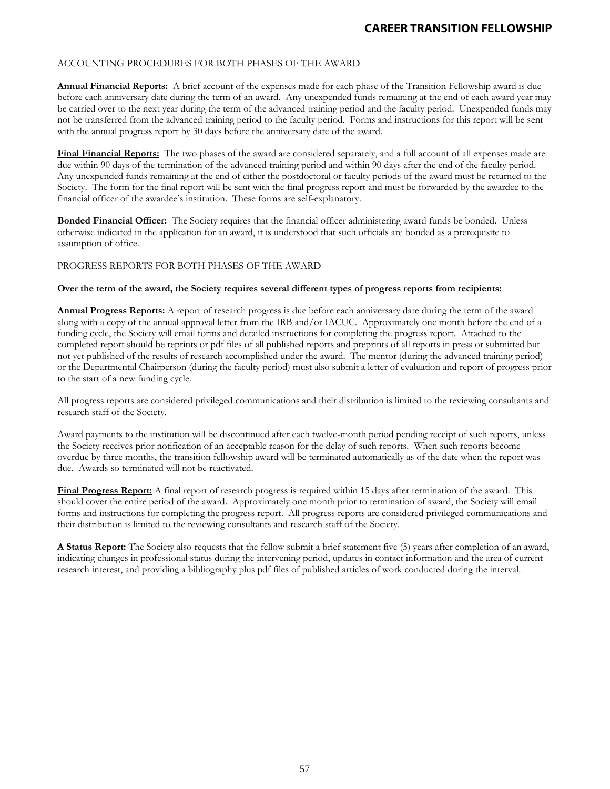### ACCOUNTING PROCEDURES FOR BOTH PHASES OF THE AWARD

**Annual Financial Reports:** A brief account of the expenses made for each phase of the Transition Fellowship award is due before each anniversary date during the term of an award. Any unexpended funds remaining at the end of each award year may be carried over to the next year during the term of the advanced training period and the faculty period. Unexpended funds may not be transferred from the advanced training period to the faculty period. Forms and instructions for this report will be sent with the annual progress report by 30 days before the anniversary date of the award.

**Final Financial Reports:** The two phases of the award are considered separately, and a full account of all expenses made are due within 90 days of the termination of the advanced training period and within 90 days after the end of the faculty period. Any unexpended funds remaining at the end of either the postdoctoral or faculty periods of the award must be returned to the Society. The form for the final report will be sent with the final progress report and must be forwarded by the awardee to the financial officer of the awardee's institution. These forms are self-explanatory.

**Bonded Financial Officer:** The Society requires that the financial officer administering award funds be bonded. Unless otherwise indicated in the application for an award, it is understood that such officials are bonded as a prerequisite to assumption of office.

### PROGRESS REPORTS FOR BOTH PHASES OF THE AWARD

### **Over the term of the award, the Society requires several different types of progress reports from recipients:**

**Annual Progress Reports:** A report of research progress is due before each anniversary date during the term of the award along with a copy of the annual approval letter from the IRB and/or IACUC. Approximately one month before the end of a funding cycle, the Society will email forms and detailed instructions for completing the progress report. Attached to the completed report should be reprints or pdf files of all published reports and preprints of all reports in press or submitted but not yet published of the results of research accomplished under the award. The mentor (during the advanced training period) or the Departmental Chairperson (during the faculty period) must also submit a letter of evaluation and report of progress prior to the start of a new funding cycle.

All progress reports are considered privileged communications and their distribution is limited to the reviewing consultants and research staff of the Society.

Award payments to the institution will be discontinued after each twelve-month period pending receipt of such reports, unless the Society receives prior notification of an acceptable reason for the delay of such reports. When such reports become overdue by three months, the transition fellowship award will be terminated automatically as of the date when the report was due. Awards so terminated will not be reactivated.

**Final Progress Report:** A final report of research progress is required within 15 days after termination of the award. This should cover the entire period of the award. Approximately one month prior to termination of award, the Society will email forms and instructions for completing the progress report. All progress reports are considered privileged communications and their distribution is limited to the reviewing consultants and research staff of the Society.

**A Status Report:** The Society also requests that the fellow submit a brief statement five (5) years after completion of an award, indicating changes in professional status during the intervening period, updates in contact information and the area of current research interest, and providing a bibliography plus pdf files of published articles of work conducted during the interval.